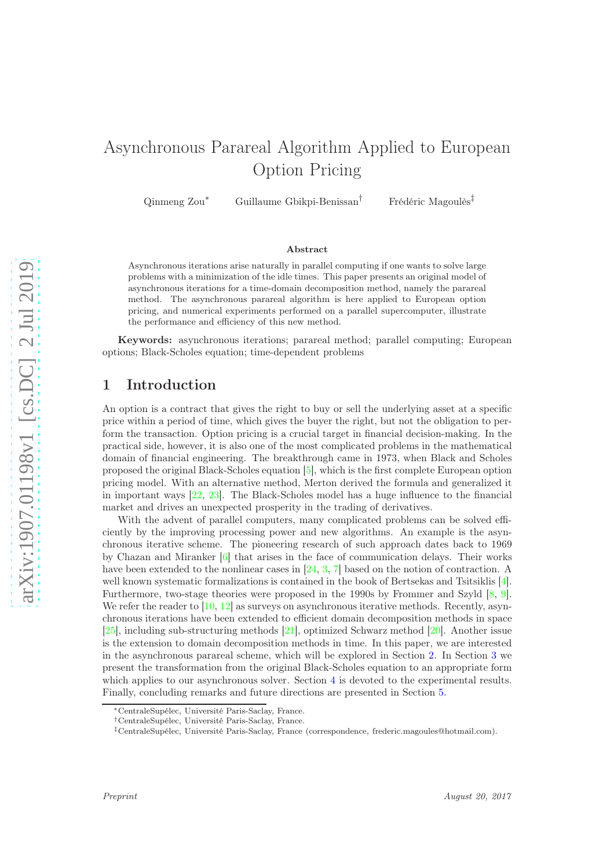# Asynchronous Parareal Algorithm Applied to European Option Pricing

Qinmeng Zou<sup>\*</sup> Guillaume Gbikpi-Benissan<sup>†</sup> Frédéric Magoulès<sup>‡</sup>

#### Abstract

Asynchronous iterations arise naturally in parallel computing if one wants to solve large problems with a minimization of the idle times. This paper presents an original model of asynchronous iterations for a time-domain decomposition method, namely the parareal method. The asynchronous parareal algorithm is here applied to European option pricing, and numerical experiments performed on a parallel supercomputer, illustrate the performance and efficiency of this new method.

Keywords: asynchronous iterations; parareal method; parallel computing; European options; Black-Scholes equation; time-dependent problems

# 1 Introduction

An option is a contract that gives the right to buy or sell the underlying asset at a specific price within a period of time, which gives the buyer the right, but not the obligation to perform the transaction. Option pricing is a crucial target in financial decision-making. In the practical side, however, it is also one of the most complicated problems in the mathematical domain of financial engineering. The breakthrough came in 1973, when Black and Scholes proposed the original Black-Scholes equation [\[5\]](#page-6-0), which is the first complete European option pricing model. With an alternative method, Merton derived the formula and generalized it in important ways [\[22,](#page-7-0) [23\]](#page-7-1). The Black-Scholes model has a huge influence to the financial market and drives an unexpected prosperity in the trading of derivatives.

With the advent of parallel computers, many complicated problems can be solved efficiently by the improving processing power and new algorithms. An example is the asynchronous iterative scheme. The pioneering research of such approach dates back to 1969 by Chazan and Miranker [\[6\]](#page-6-1) that arises in the face of communication delays. Their works have been extended to the nonlinear cases in [\[24,](#page-7-2) [3,](#page-6-2) [7\]](#page-6-3) based on the notion of contraction. A well known systematic formalizations is contained in the book of Bertsekas and Tsitsiklis [\[4\]](#page-6-4). Furthermore, two-stage theories were proposed in the 1990s by Frommer and Szyld [\[8,](#page-6-5) [9\]](#page-6-6). We refer the reader to  $[10, 12]$  $[10, 12]$  as surveys on asynchronous iterative methods. Recently, asynchronous iterations have been extended to efficient domain decomposition methods in space [\[25\]](#page-7-5), including sub-structuring methods [\[21\]](#page-7-6), optimized Schwarz method [\[20\]](#page-7-7). Another issue is the extension to domain decomposition methods in time. In this paper, we are interested in the asynchronous parareal scheme, which will be explored in Section [2.](#page-1-0) In Section [3](#page-3-0) we present the transformation from the original Black-Scholes equation to an appropriate form which applies to our asynchronous solver. Section [4](#page-4-0) is devoted to the experimental results. Finally, concluding remarks and future directions are presented in Section [5.](#page-6-7)

<sup>∗</sup>CentraleSupélec, Université Paris-Saclay, France.

<sup>†</sup>CentraleSupélec, Université Paris-Saclay, France.

<sup>‡</sup>CentraleSupélec, Université Paris-Saclay, France (correspondence, frederic.magoules@hotmail.com).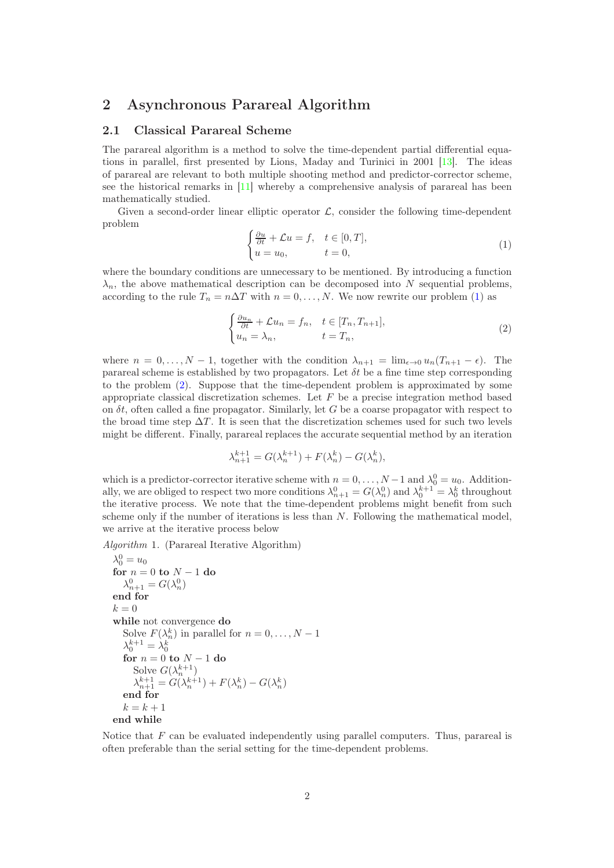## <span id="page-1-0"></span>2 Asynchronous Parareal Algorithm

#### 2.1 Classical Parareal Scheme

The parareal algorithm is a method to solve the time-dependent partial differential equations in parallel, first presented by Lions, Maday and Turinici in 2001 [\[13\]](#page-7-8). The ideas of parareal are relevant to both multiple shooting method and predictor-corrector scheme, see the historical remarks in [\[11\]](#page-7-9) whereby a comprehensive analysis of parareal has been mathematically studied.

<span id="page-1-1"></span>Given a second-order linear elliptic operator  $\mathcal{L}$ , consider the following time-dependent problem

<span id="page-1-2"></span>
$$
\begin{cases} \frac{\partial u}{\partial t} + \mathcal{L}u = f, & t \in [0, T], \\ u = u_0, & t = 0, \end{cases}
$$
 (1)

where the boundary conditions are unnecessary to be mentioned. By introducing a function  $\lambda_n$ , the above mathematical description can be decomposed into N sequential problems, according to the rule  $T_n = n\Delta T$  with  $n = 0, ..., N$ . We now rewrite our problem [\(1\)](#page-1-1) as

$$
\begin{cases} \frac{\partial u_n}{\partial t} + \mathcal{L}u_n = f_n, & t \in [T_n, T_{n+1}],\\ u_n = \lambda_n, & t = T_n, \end{cases}
$$
 (2)

where  $n = 0, \ldots, N-1$ , together with the condition  $\lambda_{n+1} = \lim_{\epsilon \to 0} u_n (T_{n+1} - \epsilon)$ . The parareal scheme is established by two propagators. Let  $\delta t$  be a fine time step corresponding to the problem [\(2\)](#page-1-2). Suppose that the time-dependent problem is approximated by some appropriate classical discretization schemes. Let  $F$  be a precise integration method based on  $\delta t$ , often called a fine propagator. Similarly, let G be a coarse propagator with respect to the broad time step  $\Delta T$ . It is seen that the discretization schemes used for such two levels might be different. Finally, parareal replaces the accurate sequential method by an iteration

$$
\lambda_{n+1}^{k+1} = G(\lambda_n^{k+1}) + F(\lambda_n^k) - G(\lambda_n^k),
$$

which is a predictor-corrector iterative scheme with  $n = 0, \ldots, N-1$  and  $\lambda_0^0 = u_0$ . Additionally, we are obliged to respect two more conditions  $\lambda_{n+1}^0 = G(\lambda_n^0)$  and  $\lambda_0^{k+1} = \lambda_0^k$  throughout the iterative process. We note that the time-dependent problems might benefit from such scheme only if the number of iterations is less than N. Following the mathematical model, we arrive at the iterative process below

Algorithm 1. (Parareal Iterative Algorithm)

$$
\lambda_0^0 = u_0
$$
  
for  $n = 0$  to  $N - 1$  do  

$$
\lambda_{n+1}^0 = G(\lambda_n^0)
$$
  
end for  
 $k = 0$   
while not convergence do  
Solve  $F(\lambda_n^k)$  in parallel for  $n = 0, ..., N - 1$   

$$
\lambda_0^{k+1} = \lambda_0^k
$$
  
for  $n = 0$  to  $N - 1$  do  
Solve  $G(\lambda_n^{k+1})$   

$$
\lambda_{n+1}^{k+1} = G(\lambda_n^{k+1}) + F(\lambda_n^k) - G(\lambda_n^k)
$$
  
end for  
 $k = k + 1$   
end while

Notice that  $F$  can be evaluated independently using parallel computers. Thus, parareal is often preferable than the serial setting for the time-dependent problems.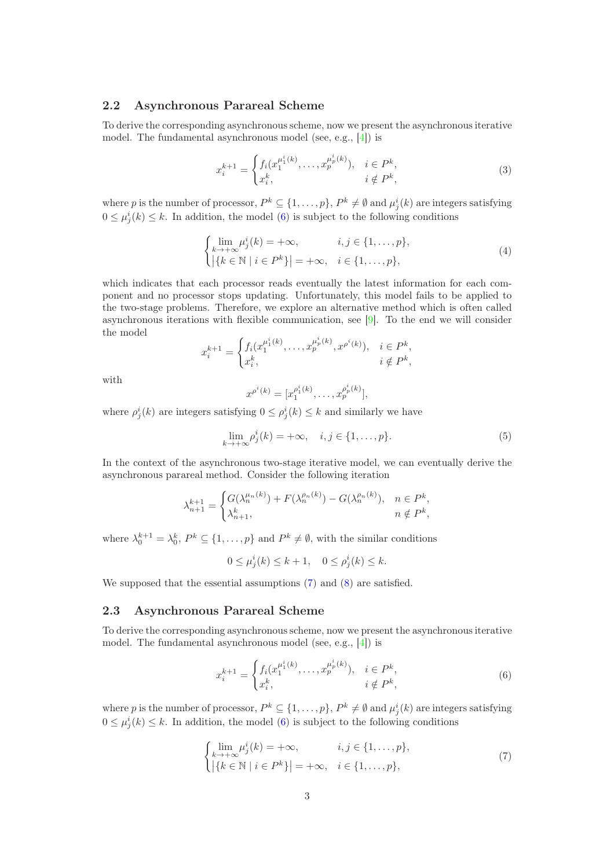#### 2.2 Asynchronous Parareal Scheme

To derive the corresponding asynchronous scheme, now we present the asynchronous iterative model. The fundamental asynchronous model (see, e.g., [\[4\]](#page-6-4)) is

$$
x_i^{k+1} = \begin{cases} f_i(x_1^{\mu_1^i(k)}, \dots, x_p^{\mu_p^i(k)}), & i \in P^k, \\ x_i^k, & i \notin P^k, \end{cases}
$$
 (3)

where p is the number of processor,  $P^k \subseteq \{1, \ldots, p\}$ ,  $P^k \neq \emptyset$  and  $\mu_j^i(k)$  are integers satisfying  $0 \leq \mu_j^i(k) \leq k$ . In addition, the model [\(6\)](#page-2-0) is subject to the following conditions

$$
\begin{cases} \lim_{k \to +\infty} \mu_j^i(k) = +\infty, & i, j \in \{1, ..., p\}, \\ |\{k \in \mathbb{N} \mid i \in P^k\}| = +\infty, & i \in \{1, ..., p\}, \end{cases}
$$
(4)

which indicates that each processor reads eventually the latest information for each component and no processor stops updating. Unfortunately, this model fails to be applied to the two-stage problems. Therefore, we explore an alternative method which is often called asynchronous iterations with flexible communication, see  $[9]$ . To the end we will consider the model

$$
x_i^{k+1} = \begin{cases} f_i(x_1^{\mu_1^i(k)}, \dots, x_p^{\mu_p^i(k)}, x^{\rho^i(k)}), & i \in P^k, \\ x_i^k, & i \notin P^k, \end{cases}
$$

with

$$
x^{\rho^i(k)} = [x_1^{\rho^i_1(k)}, \dots, x_p^{\rho^i_p(k)}],
$$

where  $\rho_j^i(k)$  are integers satisfying  $0 \leq \rho_j^i(k) \leq k$  and similarly we have

$$
\lim_{k \to +\infty} \rho_j^i(k) = +\infty, \quad i, j \in \{1, ..., p\}.
$$
 (5)

In the context of the asynchronous two-stage iterative model, we can eventually derive the asynchronous parareal method. Consider the following iteration

$$
\lambda_{n+1}^{k+1} = \begin{cases} G(\lambda_n^{\mu_n(k)}) + F(\lambda_n^{\rho_n(k)}) - G(\lambda_n^{\rho_n(k)}), & n \in P^k, \\ \lambda_{n+1}^k, & n \notin P^k, \end{cases}
$$

where  $\lambda_0^{k+1} = \lambda_0^k$ ,  $P^k \subseteq \{1, ..., p\}$  and  $P^k \neq \emptyset$ , with the similar conditions

$$
0 \le \mu_j^i(k) \le k+1, \quad 0 \le \rho_j^i(k) \le k.
$$

We supposed that the essential assumptions  $(7)$  and  $(8)$  are satisfied.

#### 2.3 Asynchronous Parareal Scheme

To derive the corresponding asynchronous scheme, now we present the asynchronous iterative model. The fundamental asynchronous model (see, e.g., [\[4\]](#page-6-4)) is

<span id="page-2-1"></span><span id="page-2-0"></span>
$$
x_i^{k+1} = \begin{cases} f_i(x_1^{\mu_1^i(k)}, \dots, x_p^{\mu_p^i(k)}), & i \in P^k, \\ x_i^k, & i \notin P^k, \end{cases}
$$
 (6)

where p is the number of processor,  $P^k \subseteq \{1, \ldots, p\}$ ,  $P^k \neq \emptyset$  and  $\mu_j^i(k)$  are integers satisfying  $0 \leq \mu_j^i(k) \leq k$ . In addition, the model [\(6\)](#page-2-0) is subject to the following conditions

$$
\begin{cases}\n\lim_{k \to +\infty} \mu_j^i(k) = +\infty, & i, j \in \{1, ..., p\}, \\
|\{k \in \mathbb{N} \mid i \in P^k\}| = +\infty, & i \in \{1, ..., p\},\n\end{cases}
$$
\n(7)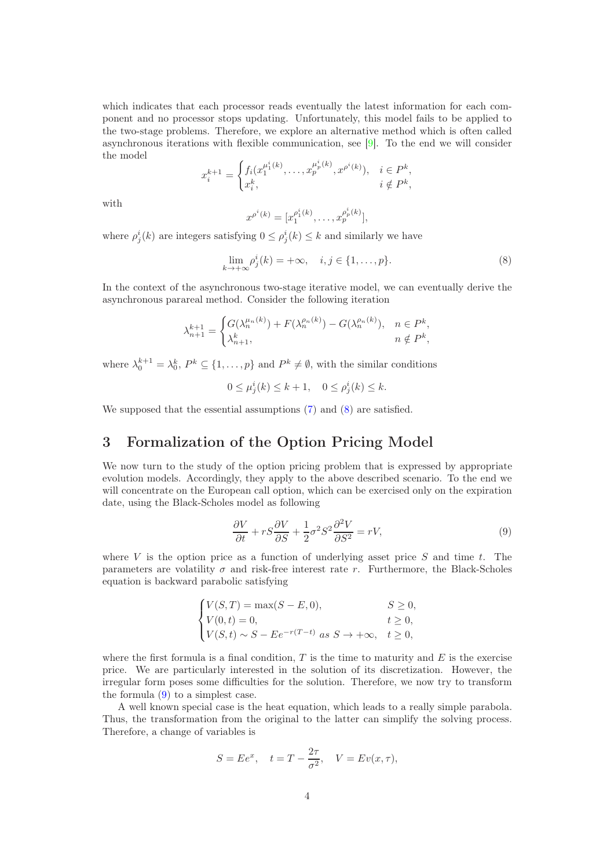which indicates that each processor reads eventually the latest information for each component and no processor stops updating. Unfortunately, this model fails to be applied to the two-stage problems. Therefore, we explore an alternative method which is often called asynchronous iterations with flexible communication, see [\[9\]](#page-6-6). To the end we will consider the model

$$
x_i^{k+1} = \begin{cases} f_i(x_1^{\mu_1^i(k)}, \dots, x_p^{\mu_p^i(k)}, x^{\rho^i(k)}), & i \in P^k, \\ x_i^k, & i \notin P^k, \end{cases}
$$

with

<span id="page-3-1"></span>
$$
x^{\rho^i(k)} = [x_1^{\rho^i_1(k)}, \dots, x_p^{\rho^i_p(k)}],
$$

where  $\rho_j^i(k)$  are integers satisfying  $0 \leq \rho_j^i(k) \leq k$  and similarly we have

$$
\lim_{k \to +\infty} \rho_j^i(k) = +\infty, \quad i, j \in \{1, ..., p\}.
$$
 (8)

In the context of the asynchronous two-stage iterative model, we can eventually derive the asynchronous parareal method. Consider the following iteration

$$
\lambda_{n+1}^{k+1} = \begin{cases} G(\lambda_n^{\mu_n(k)}) + F(\lambda_n^{\rho_n(k)}) - G(\lambda_n^{\rho_n(k)}), & n \in P^k, \\ \lambda_{n+1}^k, & n \notin P^k, \end{cases}
$$

where  $\lambda_0^{k+1} = \lambda_0^k$ ,  $P^k \subseteq \{1, ..., p\}$  and  $P^k \neq \emptyset$ , with the similar conditions

$$
0 \le \mu_j^i(k) \le k+1, \quad 0 \le \rho_j^i(k) \le k.
$$

We supposed that the essential assumptions  $(7)$  and  $(8)$  are satisfied.

# <span id="page-3-0"></span>3 Formalization of the Option Pricing Model

We now turn to the study of the option pricing problem that is expressed by appropriate evolution models. Accordingly, they apply to the above described scenario. To the end we will concentrate on the European call option, which can be exercised only on the expiration date, using the Black-Scholes model as following

<span id="page-3-2"></span>
$$
\frac{\partial V}{\partial t} + rS \frac{\partial V}{\partial S} + \frac{1}{2}\sigma^2 S^2 \frac{\partial^2 V}{\partial S^2} = rV,\tag{9}
$$

where  $V$  is the option price as a function of underlying asset price  $S$  and time  $t$ . The parameters are volatility  $\sigma$  and risk-free interest rate r. Furthermore, the Black-Scholes equation is backward parabolic satisfying

$$
\begin{cases}\nV(S,T) = \max(S - E, 0), & S \ge 0, \\
V(0,t) = 0, & t \ge 0, \\
V(S,t) \sim S - E e^{-r(T-t)} \text{ as } S \to +\infty, & t \ge 0,\n\end{cases}
$$

where the first formula is a final condition,  $T$  is the time to maturity and  $E$  is the exercise price. We are particularly interested in the solution of its discretization. However, the irregular form poses some difficulties for the solution. Therefore, we now try to transform the formula [\(9\)](#page-3-2) to a simplest case.

A well known special case is the heat equation, which leads to a really simple parabola. Thus, the transformation from the original to the latter can simplify the solving process. Therefore, a change of variables is

$$
S = E e^x, \quad t = T - \frac{2\tau}{\sigma^2}, \quad V = Ev(x, \tau),
$$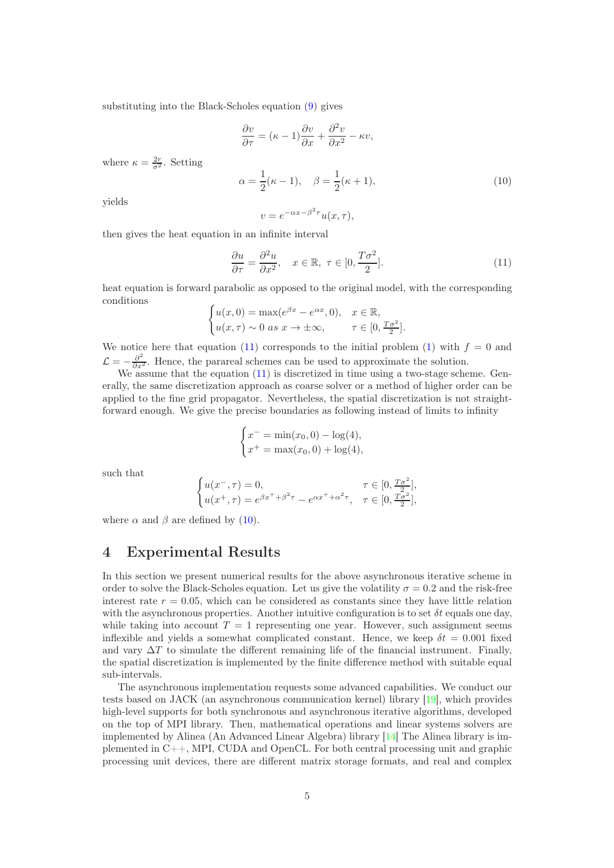substituting into the Black-Scholes equation [\(9\)](#page-3-2) gives

$$
\frac{\partial v}{\partial \tau} = (\kappa - 1)\frac{\partial v}{\partial x} + \frac{\partial^2 v}{\partial x^2} - \kappa v,
$$

where  $\kappa = \frac{2r}{\sigma^2}$ . Setting

<span id="page-4-2"></span>
$$
\alpha = \frac{1}{2}(\kappa - 1), \quad \beta = \frac{1}{2}(\kappa + 1), \tag{10}
$$

yields

<span id="page-4-1"></span>
$$
v = e^{-\alpha x - \beta^2 \tau} u(x, \tau),
$$

then gives the heat equation in an infinite interval

$$
\frac{\partial u}{\partial \tau} = \frac{\partial^2 u}{\partial x^2}, \quad x \in \mathbb{R}, \ \tau \in [0, \frac{T\sigma^2}{2}]. \tag{11}
$$

heat equation is forward parabolic as opposed to the original model, with the corresponding conditions

$$
\begin{cases} u(x,0) = \max(e^{\beta x} - e^{\alpha x}, 0), & x \in \mathbb{R}, \\ u(x,\tau) \sim 0 \text{ as } x \to \pm \infty, & \tau \in [0, \frac{T\sigma^2}{2}]. \end{cases}
$$

We notice here that equation [\(11\)](#page-4-1) corresponds to the initial problem [\(1\)](#page-1-1) with  $f = 0$  and  $\mathcal{L} = -\frac{\partial^2}{\partial x^2}$ . Hence, the parareal schemes can be used to approximate the solution.

We assume that the equation  $(11)$  is discretized in time using a two-stage scheme. Generally, the same discretization approach as coarse solver or a method of higher order can be applied to the fine grid propagator. Nevertheless, the spatial discretization is not straightforward enough. We give the precise boundaries as following instead of limits to infinity

$$
\begin{cases}\nx^- = \min(x_0, 0) - \log(4), \\
x^+ = \max(x_0, 0) + \log(4),\n\end{cases}
$$

such that

$$
\begin{cases} u(x^{-}, \tau) = 0, & \tau \in [0, \frac{T\sigma^2}{2}], \\ u(x^{+}, \tau) = e^{\beta x^{+} + \beta^{2} \tau} - e^{\alpha x^{+} + \alpha^{2} \tau}, & \tau \in [0, \frac{T\sigma^2}{2}], \end{cases}
$$

where  $\alpha$  and  $\beta$  are defined by [\(10\)](#page-4-2).

### <span id="page-4-0"></span>4 Experimental Results

In this section we present numerical results for the above asynchronous iterative scheme in order to solve the Black-Scholes equation. Let us give the volatility  $\sigma = 0.2$  and the risk-free interest rate  $r = 0.05$ , which can be considered as constants since they have little relation with the asynchronous properties. Another intuitive configuration is to set  $\delta t$  equals one day, while taking into account  $T = 1$  representing one year. However, such assignment seems inflexible and yields a somewhat complicated constant. Hence, we keep  $\delta t = 0.001$  fixed and vary  $\Delta T$  to simulate the different remaining life of the financial instrument. Finally, the spatial discretization is implemented by the finite difference method with suitable equal sub-intervals.

The asynchronous implementation requests some advanced capabilities. We conduct our tests based on JACK (an asynchronous communication kernel) library [\[19\]](#page-7-10), which provides high-level supports for both synchronous and asynchronous iterative algorithms, developed on the top of MPI library. Then, mathematical operations and linear systems solvers are implemented by Alinea (An Advanced Linear Algebra) library [\[14\]](#page-7-11) The Alinea library is implemented in C++, MPI, CUDA and OpenCL. For both central processing unit and graphic processing unit devices, there are different matrix storage formats, and real and complex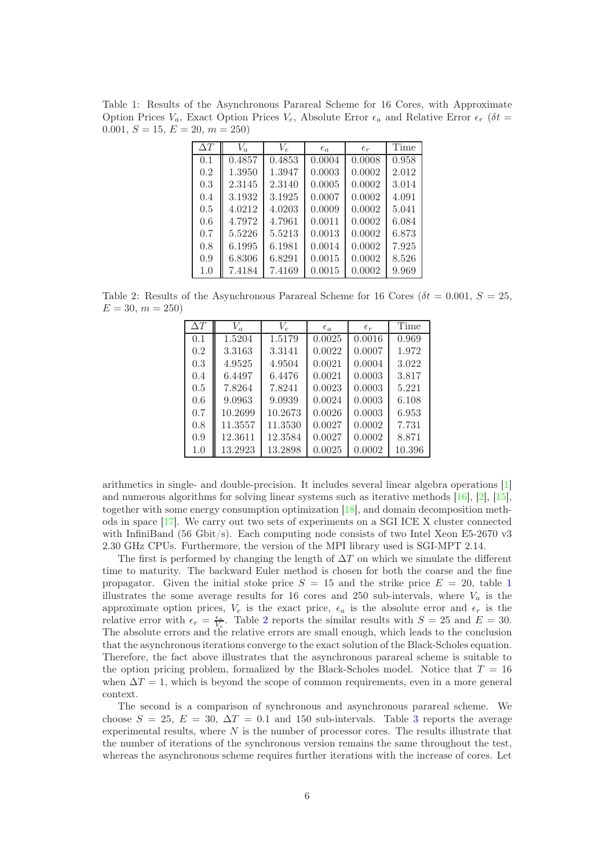<span id="page-5-0"></span>Table 1: Results of the Asynchronous Parareal Scheme for 16 Cores, with Approximate Option Prices  $V_a$ , Exact Option Prices  $V_e$ , Absolute Error  $\epsilon_a$  and Relative Error  $\epsilon_r$  ( $\delta t$  = 0.001,  $S = 15, E = 20, m = 250$ 

| $\Delta T$ | $V_a$  | $V_{e}$ | $\epsilon_a$ | $\epsilon_r$ | Time  |
|------------|--------|---------|--------------|--------------|-------|
| 0.1        | 0.4857 | 0.4853  | 0.0004       | 0.0008       | 0.958 |
| 0.2        | 1.3950 | 1.3947  | 0.0003       | 0.0002       | 2.012 |
| 0.3        | 2.3145 | 2.3140  | 0.0005       | 0.0002       | 3.014 |
| 0.4        | 3.1932 | 3.1925  | 0.0007       | 0.0002       | 4.091 |
| 0.5        | 4.0212 | 4.0203  | 0.0009       | 0.0002       | 5.041 |
| 0.6        | 4.7972 | 4.7961  | 0.0011       | 0.0002       | 6.084 |
| 0.7        | 5.5226 | 5.5213  | 0.0013       | 0.0002       | 6.873 |
| 0.8        | 6.1995 | 6.1981  | 0.0014       | 0.0002       | 7.925 |
| 0.9        | 6.8306 | 6.8291  | 0.0015       | 0.0002       | 8.526 |
| 1.0        | 7.4184 | 7.4169  | 0.0015       | 0.0002       | 9.969 |

<span id="page-5-1"></span>Table 2: Results of the Asynchronous Parareal Scheme for 16 Cores ( $\delta t = 0.001, S = 25$ ,  $E = 30, m = 250$ 

| $\Delta T$ | $V_a$   | $V_{\varepsilon}$ | $\epsilon_a$ | $\epsilon_r$ | Time   |
|------------|---------|-------------------|--------------|--------------|--------|
| 0.1        | 1.5204  | 1.5179            | 0.0025       | 0.0016       | 0.969  |
| 0.2        | 3.3163  | 3.3141            | 0.0022       | 0.0007       | 1.972  |
| 0.3        | 4.9525  | 4.9504            | 0.0021       | 0.0004       | 3.022  |
| 0.4        | 6.4497  | 6.4476            | 0.0021       | 0.0003       | 3.817  |
| 0.5        | 7.8264  | 7.8241            | 0.0023       | 0.0003       | 5.221  |
| 0.6        | 9.0963  | 9.0939            | 0.0024       | 0.0003       | 6.108  |
| 0.7        | 10.2699 | 10.2673           | 0.0026       | 0.0003       | 6.953  |
| 0.8        | 11.3557 | 11.3530           | 0.0027       | 0.0002       | 7.731  |
| 0.9        | 12.3611 | 12.3584           | 0.0027       | 0.0002       | 8.871  |
| 1.0        | 13.2923 | 13.2898           | 0.0025       | 0.0002       | 10.396 |
|            |         |                   |              |              |        |

arithmetics in single- and double-precision. It includes several linear algebra operations [\[1\]](#page-6-8) and numerous algorithms for solving linear systems such as iterative methods [\[16\]](#page-7-12), [\[2\]](#page-6-9), [\[15\]](#page-7-13), together with some energy consumption optimization [\[18\]](#page-7-14), and domain decomposition methods in space [\[17\]](#page-7-15). We carry out two sets of experiments on a SGI ICE X cluster connected with InfiniBand (56 Gbit/s). Each computing node consists of two Intel Xeon E5-2670 v3 2.30 GHz CPUs. Furthermore, the version of the MPI library used is SGI-MPT 2.14.

The first is performed by changing the length of  $\Delta T$  on which we simulate the different time to maturity. The backward Euler method is chosen for both the coarse and the fine propagator. Given the initial stoke price  $S = 15$  $S = 15$  $S = 15$  and the strike price  $E = 20$ , table 1 illustrates the some average results for 16 cores and 250 sub-intervals, where  $V_a$  is the approximate option prices,  $V_e$  is the exact price,  $\epsilon_a$  is the absolute error and  $\epsilon_r$  is the relative error with  $\epsilon_r = \frac{\epsilon_q}{V_e}$ . Table [2](#page-5-1) reports the similar results with  $S = 25$  and  $E = 30$ . The absolute errors and the relative errors are small enough, which leads to the conclusion that the asynchronous iterations converge to the exact solution of the Black-Scholes equation. Therefore, the fact above illustrates that the asynchronous parareal scheme is suitable to the option pricing problem, formalized by the Black-Scholes model. Notice that  $T = 16$ when  $\Delta T = 1$ , which is beyond the scope of common requirements, even in a more general context.

The second is a comparison of synchronous and asynchronous parareal scheme. We choose  $S = 25$ ,  $E = 30$  $E = 30$  $E = 30$ ,  $\Delta T = 0.1$  and 150 sub-intervals. Table 3 reports the average experimental results, where  $N$  is the number of processor cores. The results illustrate that the number of iterations of the synchronous version remains the same throughout the test, whereas the asynchronous scheme requires further iterations with the increase of cores. Let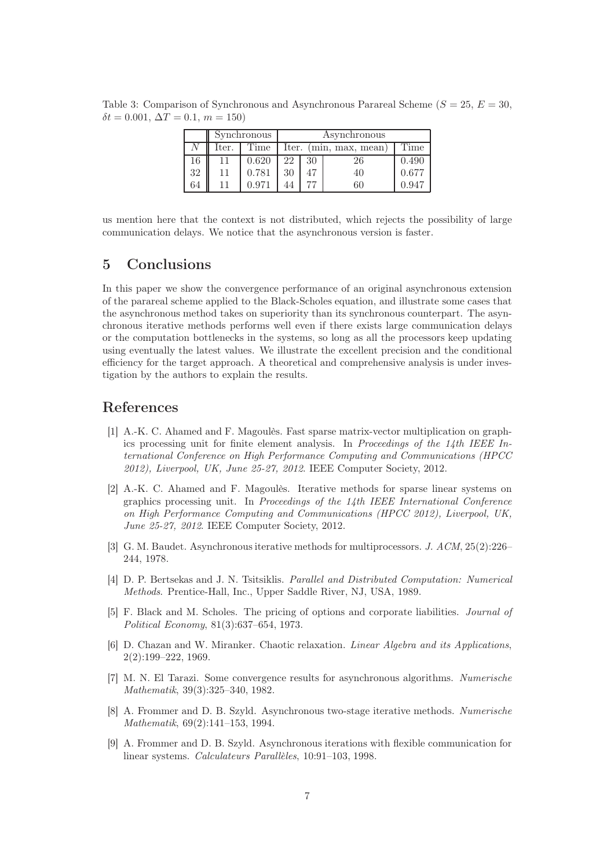<span id="page-6-10"></span>Table 3: Comparison of Synchronous and Asynchronous Parareal Scheme ( $S = 25, E = 30$ ,  $\delta t = 0.001, \Delta T = 0.1, m = 150$ 

|    | Synchronous |       | Asynchronous           |    |    |       |
|----|-------------|-------|------------------------|----|----|-------|
|    | lter.       | Time  | Iter. (min, max, mean) |    |    | Time  |
| 16 |             | 0.620 | 22                     | 30 | 26 | 0.490 |
| 32 |             | 0.781 | 30                     |    | 40 | 0.677 |
| 64 |             | በ 97  |                        |    | 60 | ገ 947 |

us mention here that the context is not distributed, which rejects the possibility of large communication delays. We notice that the asynchronous version is faster.

# <span id="page-6-7"></span>5 Conclusions

In this paper we show the convergence performance of an original asynchronous extension of the parareal scheme applied to the Black-Scholes equation, and illustrate some cases that the asynchronous method takes on superiority than its synchronous counterpart. The asynchronous iterative methods performs well even if there exists large communication delays or the computation bottlenecks in the systems, so long as all the processors keep updating using eventually the latest values. We illustrate the excellent precision and the conditional efficiency for the target approach. A theoretical and comprehensive analysis is under investigation by the authors to explain the results.

## <span id="page-6-8"></span>References

- [1] A.-K. C. Ahamed and F. Magoulès. Fast sparse matrix-vector multiplication on graphics processing unit for finite element analysis. In Proceedings of the 14th IEEE International Conference on High Performance Computing and Communications (HPCC 2012), Liverpool, UK, June 25-27, 2012. IEEE Computer Society, 2012.
- <span id="page-6-9"></span>[2] A.-K. C. Ahamed and F. Magoulès. Iterative methods for sparse linear systems on graphics processing unit. In Proceedings of the 14th IEEE International Conference on High Performance Computing and Communications (HPCC 2012), Liverpool, UK, June 25-27, 2012. IEEE Computer Society, 2012.
- <span id="page-6-2"></span>[3] G. M. Baudet. Asynchronous iterative methods for multiprocessors. J. ACM, 25(2):226– 244, 1978.
- <span id="page-6-4"></span>[4] D. P. Bertsekas and J. N. Tsitsiklis. Parallel and Distributed Computation: Numerical Methods. Prentice-Hall, Inc., Upper Saddle River, NJ, USA, 1989.
- <span id="page-6-0"></span>[5] F. Black and M. Scholes. The pricing of options and corporate liabilities. Journal of Political Economy, 81(3):637–654, 1973.
- <span id="page-6-1"></span>[6] D. Chazan and W. Miranker. Chaotic relaxation. Linear Algebra and its Applications, 2(2):199–222, 1969.
- <span id="page-6-3"></span>[7] M. N. El Tarazi. Some convergence results for asynchronous algorithms. Numerische Mathematik, 39(3):325–340, 1982.
- <span id="page-6-5"></span>[8] A. Frommer and D. B. Szyld. Asynchronous two-stage iterative methods. Numerische Mathematik, 69(2):141–153, 1994.
- <span id="page-6-6"></span>[9] A. Frommer and D. B. Szyld. Asynchronous iterations with flexible communication for linear systems. Calculateurs Parallèles, 10:91–103, 1998.